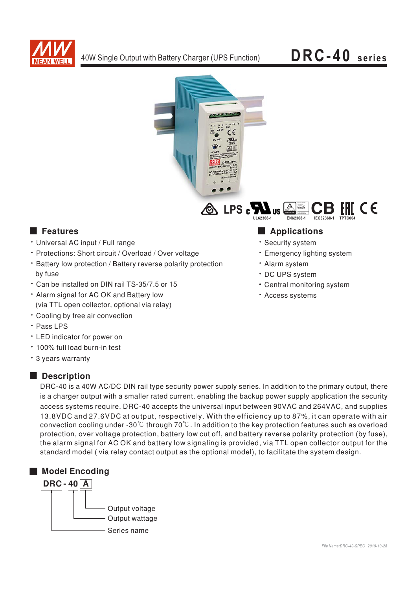

C E



# **Executer** Features

- · Universal AC input / Full range
- · Protections: Short circuit / Overload / Over voltage
- Battery low protection / Battery reverse polarity protection by fuse
- \* Can be installed on DIN rail TS-35/7.5 or 15
- . Alarm signal for AC OK and Battery low (via TTL open collector, optional via relay)
- Cooling by free air convection
- · Pass LPS
- LED indicator for power on
- \* 100% full load burn-in test
- \* 3 years warranty

# **Description**

- Applications
- · Security system
- · Emergency lighting system
- · Alarm system
- · DC UPS svstem
- Central monitoring system
- · Access systems

DRC-40 is a 40W AC/DC DIN rail type security power supply series. In addition to the primary output, there is a charger output with a smaller rated current, enabling the backup power supply application the security access systems require. DRC-40 accepts the universal input between 90VAC and 264VAC, and supplies 13.8VDC and 27.6VDC at output, respectively. With the efficiency up to 87%, it can operate with air convection cooling under -30 $^{\circ}$ C through 70 $^{\circ}$ C. In addition to the key protection features such as overload protection, over voltage protection, battery low cut off, and battery reverse polarity protection (by fuse). the alarm signal for AC OK and battery low signaling is provided, via TTL open collector output for the standard model (via relay contact output as the optional model), to facilitate the system design.

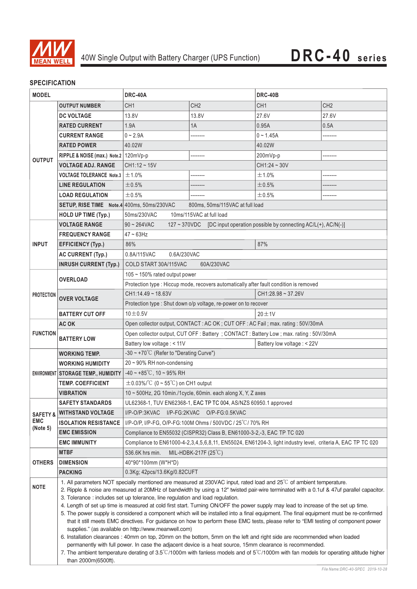

# **SPECIFICATION**

| <b>MODEL</b>                                  |                                                                                                                                                                                                                                                    | DRC-40A                                                                                                                                                                                                                                                                                                                                                                                                                                                                                                                                                                                                 |                                 | DRC-40B         |                 |  |
|-----------------------------------------------|----------------------------------------------------------------------------------------------------------------------------------------------------------------------------------------------------------------------------------------------------|---------------------------------------------------------------------------------------------------------------------------------------------------------------------------------------------------------------------------------------------------------------------------------------------------------------------------------------------------------------------------------------------------------------------------------------------------------------------------------------------------------------------------------------------------------------------------------------------------------|---------------------------------|-----------------|-----------------|--|
|                                               | <b>OUTPUT NUMBER</b>                                                                                                                                                                                                                               | CH <sub>1</sub>                                                                                                                                                                                                                                                                                                                                                                                                                                                                                                                                                                                         | CH <sub>2</sub>                 | CH <sub>1</sub> | CH <sub>2</sub> |  |
| <b>OUTPUT</b>                                 | <b>DC VOLTAGE</b>                                                                                                                                                                                                                                  | 13.8V                                                                                                                                                                                                                                                                                                                                                                                                                                                                                                                                                                                                   | 13.8V                           | 27.6V           | 27.6V           |  |
|                                               | <b>RATED CURRENT</b>                                                                                                                                                                                                                               | 1.9A                                                                                                                                                                                                                                                                                                                                                                                                                                                                                                                                                                                                    | 1A                              | 0.95A           | 0.5A            |  |
|                                               | <b>CURRENT RANGE</b>                                                                                                                                                                                                                               | $0 - 2.9A$                                                                                                                                                                                                                                                                                                                                                                                                                                                                                                                                                                                              | --------                        | $0 - 1.45A$     |                 |  |
|                                               | <b>RATED POWER</b>                                                                                                                                                                                                                                 | 40.02W                                                                                                                                                                                                                                                                                                                                                                                                                                                                                                                                                                                                  |                                 | 40.02W          |                 |  |
|                                               | RIPPLE & NOISE (max.) Note.2   120mVp-p                                                                                                                                                                                                            |                                                                                                                                                                                                                                                                                                                                                                                                                                                                                                                                                                                                         | --------                        | 200mVp-p        | --------        |  |
|                                               | <b>VOLTAGE ADJ. RANGE</b>                                                                                                                                                                                                                          | $CH1:12 - 15V$                                                                                                                                                                                                                                                                                                                                                                                                                                                                                                                                                                                          |                                 | $CH1:24 - 30V$  |                 |  |
|                                               | <b>VOLTAGE TOLERANCE Note.3</b>                                                                                                                                                                                                                    | ±1.0%                                                                                                                                                                                                                                                                                                                                                                                                                                                                                                                                                                                                   |                                 | ±1.0%           | .               |  |
|                                               | <b>LINE REGULATION</b>                                                                                                                                                                                                                             | ±0.5%                                                                                                                                                                                                                                                                                                                                                                                                                                                                                                                                                                                                   |                                 | ±0.5%           |                 |  |
|                                               | <b>LOAD REGULATION</b>                                                                                                                                                                                                                             | ±0.5%                                                                                                                                                                                                                                                                                                                                                                                                                                                                                                                                                                                                   |                                 | ±0.5%           |                 |  |
|                                               | SETUP, RISE TIME Note.4 400ms, 50ms/230VAC                                                                                                                                                                                                         |                                                                                                                                                                                                                                                                                                                                                                                                                                                                                                                                                                                                         | 800ms, 50ms/115VAC at full load |                 |                 |  |
|                                               | <b>HOLD UP TIME (Typ.)</b>                                                                                                                                                                                                                         | 50ms/230VAC<br>10ms/115VAC at full load                                                                                                                                                                                                                                                                                                                                                                                                                                                                                                                                                                 |                                 |                 |                 |  |
| <b>INPUT</b>                                  | <b>VOLTAGE RANGE</b>                                                                                                                                                                                                                               | $90 - 264$ VAC<br>127 ~ 370VDC [DC input operation possible by connecting AC/L(+), AC/N(-)]                                                                                                                                                                                                                                                                                                                                                                                                                                                                                                             |                                 |                 |                 |  |
|                                               | <b>FREQUENCY RANGE</b>                                                                                                                                                                                                                             | $47 \sim 63$ Hz                                                                                                                                                                                                                                                                                                                                                                                                                                                                                                                                                                                         |                                 |                 |                 |  |
|                                               | <b>EFFICIENCY (Typ.)</b>                                                                                                                                                                                                                           | 86%                                                                                                                                                                                                                                                                                                                                                                                                                                                                                                                                                                                                     |                                 | 87%             |                 |  |
|                                               | <b>AC CURRENT (Typ.)</b>                                                                                                                                                                                                                           | 0.8A/115VAC<br>0.6A/230VAC                                                                                                                                                                                                                                                                                                                                                                                                                                                                                                                                                                              |                                 |                 |                 |  |
|                                               | <b>INRUSH CURRENT (Typ.)</b>                                                                                                                                                                                                                       | COLD START 30A/115VAC<br>60A/230VAC                                                                                                                                                                                                                                                                                                                                                                                                                                                                                                                                                                     |                                 |                 |                 |  |
| <b>PROTECTION</b>                             | <b>OVERLOAD</b>                                                                                                                                                                                                                                    | 105 ~ 150% rated output power                                                                                                                                                                                                                                                                                                                                                                                                                                                                                                                                                                           |                                 |                 |                 |  |
|                                               |                                                                                                                                                                                                                                                    | Protection type : Hiccup mode, recovers automatically after fault condition is removed                                                                                                                                                                                                                                                                                                                                                                                                                                                                                                                  |                                 |                 |                 |  |
|                                               | <b>OVER VOLTAGE</b>                                                                                                                                                                                                                                | CH1:14.49~18.63V<br>CH1:28.98~37.26V                                                                                                                                                                                                                                                                                                                                                                                                                                                                                                                                                                    |                                 |                 |                 |  |
|                                               |                                                                                                                                                                                                                                                    | Protection type : Shut down o/p voltage, re-power on to recover                                                                                                                                                                                                                                                                                                                                                                                                                                                                                                                                         |                                 |                 |                 |  |
|                                               | <b>BATTERY CUT OFF</b>                                                                                                                                                                                                                             | $10\pm0.5V$                                                                                                                                                                                                                                                                                                                                                                                                                                                                                                                                                                                             |                                 | $20 \pm 1V$     |                 |  |
|                                               | AC OK                                                                                                                                                                                                                                              | Open collector output, CONTACT: AC OK; CUT OFF: AC Fail; max. rating: 50V/30mA                                                                                                                                                                                                                                                                                                                                                                                                                                                                                                                          |                                 |                 |                 |  |
| <b>FUNCTION</b>                               | <b>BATTERY LOW</b>                                                                                                                                                                                                                                 | Open collector output, CUT OFF : Battery ; CONTACT : Battery Low ; max. rating : 50V/30mA                                                                                                                                                                                                                                                                                                                                                                                                                                                                                                               |                                 |                 |                 |  |
|                                               |                                                                                                                                                                                                                                                    | Battery low voltage : < 11V<br>Battery low voltage : < 22V                                                                                                                                                                                                                                                                                                                                                                                                                                                                                                                                              |                                 |                 |                 |  |
|                                               | <b>WORKING TEMP.</b>                                                                                                                                                                                                                               | -30 ~ +70 $^{\circ}$ C (Refer to "Derating Curve")                                                                                                                                                                                                                                                                                                                                                                                                                                                                                                                                                      |                                 |                 |                 |  |
|                                               | <b>WORKING HUMIDITY</b>                                                                                                                                                                                                                            | 20~90% RH non-condensing                                                                                                                                                                                                                                                                                                                                                                                                                                                                                                                                                                                |                                 |                 |                 |  |
|                                               | ENVIRONMENT STORAGE TEMP., HUMIDITY                                                                                                                                                                                                                | $-40 \sim +85^{\circ}$ C, 10 ~ 95% RH                                                                                                                                                                                                                                                                                                                                                                                                                                                                                                                                                                   |                                 |                 |                 |  |
|                                               | <b>TEMP. COEFFICIENT</b>                                                                                                                                                                                                                           | $\pm$ 0.03%/°C (0 ~ 55°C) on CH1 output                                                                                                                                                                                                                                                                                                                                                                                                                                                                                                                                                                 |                                 |                 |                 |  |
|                                               | <b>VIBRATION</b>                                                                                                                                                                                                                                   | 10 ~ 500Hz, 2G 10min./1cycle, 60min. each along X, Y, Z axes                                                                                                                                                                                                                                                                                                                                                                                                                                                                                                                                            |                                 |                 |                 |  |
| <b>SAFETY &amp;</b><br><b>EMC</b><br>(Note 5) | <b>SAFETY STANDARDS</b>                                                                                                                                                                                                                            | UL62368-1, TUV EN62368-1, EAC TP TC 004, AS/NZS 60950.1 approved                                                                                                                                                                                                                                                                                                                                                                                                                                                                                                                                        |                                 |                 |                 |  |
|                                               | <b>WITHSTAND VOLTAGE</b>                                                                                                                                                                                                                           | I/P-O/P:3KVAC<br>I/P-FG:2KVAC<br>O/P-FG:0.5KVAC                                                                                                                                                                                                                                                                                                                                                                                                                                                                                                                                                         |                                 |                 |                 |  |
|                                               | <b>ISOLATION RESISTANCE</b>                                                                                                                                                                                                                        | I/P-O/P, I/P-FG, O/P-FG:100M Ohms / 500VDC / 25 °C/ 70% RH                                                                                                                                                                                                                                                                                                                                                                                                                                                                                                                                              |                                 |                 |                 |  |
|                                               | <b>EMC EMISSION</b>                                                                                                                                                                                                                                | Compliance to EN55032 (CISPR32) Class B, EN61000-3-2,-3, EAC TP TC 020                                                                                                                                                                                                                                                                                                                                                                                                                                                                                                                                  |                                 |                 |                 |  |
|                                               |                                                                                                                                                                                                                                                    | <b>EMC IMMUNITY</b><br>Compliance to EN61000-4-2,3,4,5,6,8,11, EN55024, EN61204-3, light industry level, criteria A, EAC TP TC 020                                                                                                                                                                                                                                                                                                                                                                                                                                                                      |                                 |                 |                 |  |
| OTHERS                                        | MTBF                                                                                                                                                                                                                                               | MIL-HDBK-217F $(25^{\circ}C)$<br>536.6K hrs min.                                                                                                                                                                                                                                                                                                                                                                                                                                                                                                                                                        |                                 |                 |                 |  |
|                                               | <b>DIMENSION</b>                                                                                                                                                                                                                                   | 40*90*100mm (W*H*D)                                                                                                                                                                                                                                                                                                                                                                                                                                                                                                                                                                                     |                                 |                 |                 |  |
|                                               | <b>PACKING</b>                                                                                                                                                                                                                                     | 0.3Kg; 42pcs/13.6Kg/0.82CUFT                                                                                                                                                                                                                                                                                                                                                                                                                                                                                                                                                                            |                                 |                 |                 |  |
| <b>NOTE</b>                                   |                                                                                                                                                                                                                                                    | 1. All parameters NOT specially mentioned are measured at 230VAC input, rated load and 25 <sup>°</sup> C of ambient temperature.<br>2. Ripple & noise are measured at 20MHz of bandwidth by using a 12" twisted pair-wire terminated with a 0.1uf & 47uf parallel capacitor.                                                                                                                                                                                                                                                                                                                            |                                 |                 |                 |  |
|                                               | 3. Tolerance : includes set up tolerance, line regulation and load regulation.                                                                                                                                                                     |                                                                                                                                                                                                                                                                                                                                                                                                                                                                                                                                                                                                         |                                 |                 |                 |  |
|                                               |                                                                                                                                                                                                                                                    | 4. Length of set up time is measured at cold first start. Turning ON/OFF the power supply may lead to increase of the set up time.<br>5. The power supply is considered a component which will be installed into a final equipment. The final equipment must be re-confirmed<br>that it still meets EMC directives. For guidance on how to perform these EMC tests, please refer to "EMI testing of component power<br>supplies." (as available on http://www.meanwell.com)<br>6. Installation clearances : 40mm on top, 20mm on the bottom, 5mm on the left and right side are recommended when loaded |                                 |                 |                 |  |
|                                               |                                                                                                                                                                                                                                                    |                                                                                                                                                                                                                                                                                                                                                                                                                                                                                                                                                                                                         |                                 |                 |                 |  |
|                                               |                                                                                                                                                                                                                                                    |                                                                                                                                                                                                                                                                                                                                                                                                                                                                                                                                                                                                         |                                 |                 |                 |  |
|                                               |                                                                                                                                                                                                                                                    |                                                                                                                                                                                                                                                                                                                                                                                                                                                                                                                                                                                                         |                                 |                 |                 |  |
|                                               | permanently with full power. In case the adjacent device is a heat source, 15mm clearance is recommended.<br>7. The ambient temperature derating of 3.5°C/1000m with fanless models and of 5°C/1000m with fan models for operating altitude higher |                                                                                                                                                                                                                                                                                                                                                                                                                                                                                                                                                                                                         |                                 |                 |                 |  |
|                                               | than 2000m(6500ft).                                                                                                                                                                                                                                |                                                                                                                                                                                                                                                                                                                                                                                                                                                                                                                                                                                                         |                                 |                 |                 |  |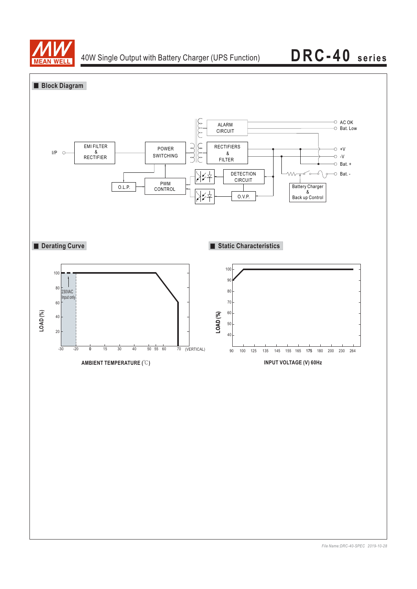

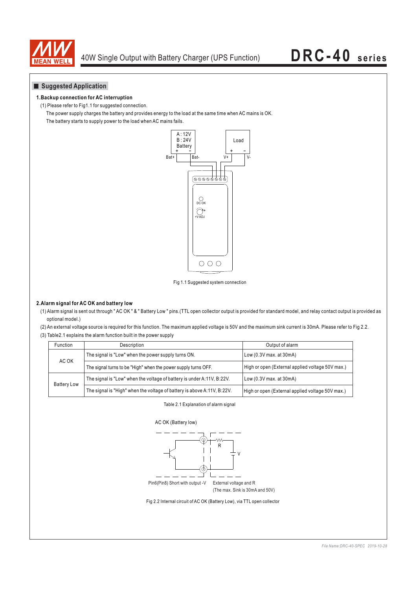

## **Suggested Application**

## **1.Backup connection for AC interruption**

(1) Please refer to Fig1.1 for suggested connection.

The power supply charges the battery and provides energy to the load at the same time when AC mains is OK.

The battery starts to supply power to the load when AC mains fails.



Fig 1.1 Suggested system connection

## **2.Alarm signal for AC OK and battery low**

(1) Alarm signal is sent out through " AC OK " & " Battery Low " pins.(TTL open collector output is provided for standard model, and relay contact output is provided as optional model.)

(2) An external voltage source is required for this function. The maximum applied voltage is 50V and the maximum sink current is 30mA. Please refer to Fig 2.2. (3) Table2.1 explains the alarm function built in the power supply

| <b>Function</b>    | <b>Description</b>                                                      | Output of alarm                                  |  |
|--------------------|-------------------------------------------------------------------------|--------------------------------------------------|--|
| AC OK              | The signal is "Low" when the power supply turns ON.                     | Low (0.3V max. at 30mA)                          |  |
|                    | The signal turns to be "High" when the power supply turns OFF.          | High or open (External applied voltage 50V max.) |  |
| <b>Battery Low</b> | The signal is "Low" when the voltage of battery is under A:11V, B:22V.  | Low (0.3V max. at 30mA)                          |  |
|                    | The signal is "High" when the voltage of battery is above A:11V, B:22V. | High or open (External applied voltage 50V max.) |  |

### Table 2.1 Explanation of alarm signal



Fig 2.2 Internal circuit of AC OK (Battery Low), via TTL open collector